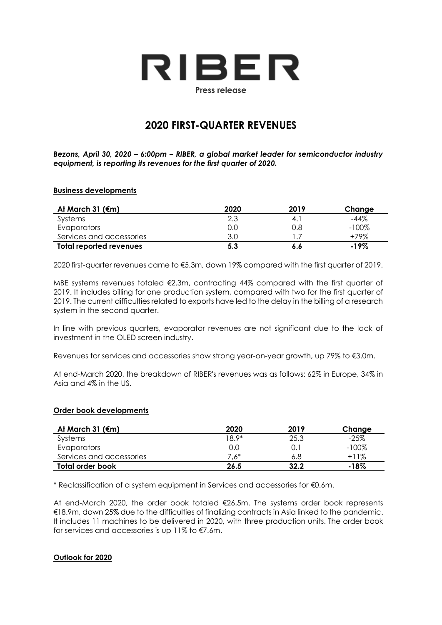# RIBER **Press release**

# **2020 FIRST-QUARTER REVENUES**

*Bezons, April 30, 2020 – 6:00pm – RIBER, a global market leader for semiconductor industry equipment, is reporting its revenues for the first quarter of 2020.*

#### **Business developments**

| At March 31 ( $\epsilon$ m) | 2020 | 2019 | Change   |
|-----------------------------|------|------|----------|
| Systems                     | 2.3  | 4.   | -44%     |
| Evaporators                 | 0.0  | 0.8  | $-100\%$ |
| Services and accessories    | 3.0  |      | +79%     |
| Total reported revenues     | 5.3  | 6.6  | $-19\%$  |

2020 first-quarter revenues came to €5.3m, down 19% compared with the first quarter of 2019.

MBE systems revenues totaled  $E$ 2.3m, contracting 44% compared with the first quarter of 2019. It includes billing for one production system, compared with two for the first quarter of 2019. The current difficulties related to exports have led to the delay in the billing of a research system in the second quarter.

In line with previous quarters, evaporator revenues are not significant due to the lack of investment in the OLED screen industry.

Revenues for services and accessories show strong year-on-year growth, up 79% to €3.0m.

At end-March 2020, the breakdown of RIBER's revenues was as follows: 62% in Europe, 34% in Asia and 4% in the US.

#### **Order book developments**

| At March 31 $(\epsilon m)$ | 2020    | 2019 | Change   |
|----------------------------|---------|------|----------|
| Systems                    | $18.9*$ | 25.3 | $-25%$   |
| Evaporators                | 0.0     | 0.   | $-100\%$ |
| Services and accessories   | 7.6*    | 6.8  | $+11%$   |
| Total order book           | 26.5    | 32.2 | -18%     |

\* Reclassification of a system equipment in Services and accessories for €0.6m.

At end-March 2020, the order book totaled €26.5m. The systems order book represents €18.9m, down 25% due to the difficulties of finalizing contracts in Asia linked to the pandemic. It includes 11 machines to be delivered in 2020, with three production units. The order book for services and accessories is up 11% to €7.6m.

#### **Outlook for 2020**